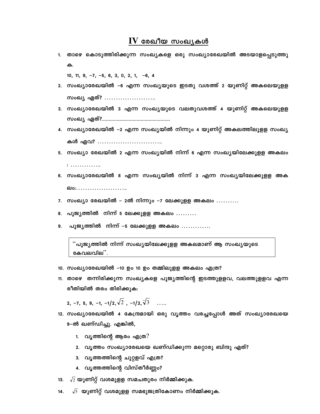## $\mathbf{IV}$  രേഖീയ സംഖ്യകൾ

1. താഴെ കൊടുത്തിരിക്കുന്ന സംഖ്യകളെ ഒരു സംഖ്യാരേഖയിൽ അടയാളപ്പെടുത്തു ക.

10, 11,  $9, -7, -5, 6, 3, 0, 2, 1, -6, 4$ 

- 2. സംഖ്യാരേഖയിൽ –6 എന്ന സംഖ്യയുടെ ഇടതു വശത്ത് 2 യൂണിറ്റ് അകലെയുളള സംഖ്യ ഏത്? ………………….
- 3. സംഖ്യാരേഖയിൽ 3 എന്ന സംഖ്യയുടെ വലതുവശത്ത് 4 യൂണിറ്റ് അകലെയുളള kwJy GXv?...................................................
- 4. സംഖ്യാരേഖയിൽ -2 എന്ന സംഖ്യയിൽ നിന്നും 4 യൂണിറ്റ് അകലത്തിലുളള സംഖ്യ കൾ ഏവ? ……………………….
- 5. സംഖ്യാ രേഖയിൽ 2 എന്ന സംഖ്യയിൽ നിന്ന് 6 എന്ന സംഖ്യയിലേക്കുളള അകലം

: …………..

- 6. സംഖ്യാരേഖയിൽ 8 എന്ന സംഖ്യയിൽ നിന്ന് 3 എന്ന സംഖ്യയിലേക്കുളള അക elo:..........................
- 7. സംഖ്യാ രേഖയിൽ 2ൽ നിന്നും –7 ലേക്കുളള അകലം  $\dots\dots$
- 8. പൂജൃത്തിൽ നിന്ന് 5 ലേക്കുളള അകലം  $\dots\dots$
- 9. പൂജൃത്തിൽ നിന്ന് –5 ലേക്കുളള അകലം .............

്പൂജ്യത്തിൽ നിന്ന് സംഖ്യയിലേക്കുളള അകലമാണ് ആ സംഖ്യയുടെ കേവലവില".

- 10. സംഖ്യാരേഖയിൽ -10 ഉം 10 ഉം തമ്മിലുളള അകലം എത്ര?
- 11. താഴെ തന്നിരിക്കുന്ന സംഖ്യകളെ പൂജ്യത്തിന്റെ ഇടത്തുളളവ, വലത്തുളളവ എന്ന രീതിയിൽ തരം തിരിക്കുക:

2, –7, 5, 9, –1, –1/2, $\sqrt{2}$ , –1/2, $\sqrt{3}$  …

- 12. സംഖ്യാരേഖയിൽ 4 കേന്ദ്രമായി ഒരു വൃത്തം വരച്ചപ്പോൾ അത് സംഖ്യാരേഖയെ 9–ൽ ഖണ്ഡിച്ചു. എങ്കിൽ,
	- 1.  $\alpha$ പ്യത്തിന്റെ ആരം എത്ര $?$
	- 2. വൃത്തം സംഖ്യാരേഖയെ ഖണ്ഡിക്കുന്ന മറ്റൊരു ബിന്ദു ഏത്?
	- 3. വൃത്തത്തിന്റെ ചുറ്റളവ് എത്ര?
	- 4. വൃത്തത്തിന്റെ വിസ്തീർണ്ണം?
- 13.  $\sqrt{2}$  യൂണിറ്റ് വശമുളള സമചതുരം നിർമ്മിക്കുക.
- 14.  $\sqrt{5}$  യൂണിറ്റ് വശമുളള സമഭുജത്രികോണം നിർമ്മിക്കുക.